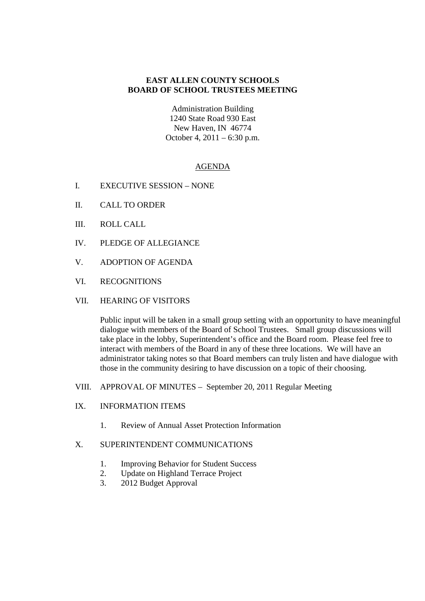## **EAST ALLEN COUNTY SCHOOLS BOARD OF SCHOOL TRUSTEES MEETING**

Administration Building 1240 State Road 930 East New Haven, IN 46774 October 4, 2011 – 6:30 p.m.

## AGENDA

- I. EXECUTIVE SESSION NONE
- II. CALL TO ORDER
- III. ROLL CALL
- IV. PLEDGE OF ALLEGIANCE
- V. ADOPTION OF AGENDA
- VI. RECOGNITIONS
- VII. HEARING OF VISITORS

Public input will be taken in a small group setting with an opportunity to have meaningful dialogue with members of the Board of School Trustees. Small group discussions will take place in the lobby, Superintendent's office and the Board room. Please feel free to interact with members of the Board in any of these three locations. We will have an administrator taking notes so that Board members can truly listen and have dialogue with those in the community desiring to have discussion on a topic of their choosing.

- VIII. APPROVAL OF MINUTES September 20, 2011 Regular Meeting
- IX. INFORMATION ITEMS
	- 1. Review of Annual Asset Protection Information

## X. SUPERINTENDENT COMMUNICATIONS

- 1. Improving Behavior for Student Success
- 2. Update on Highland Terrace Project
- 3. 2012 Budget Approval